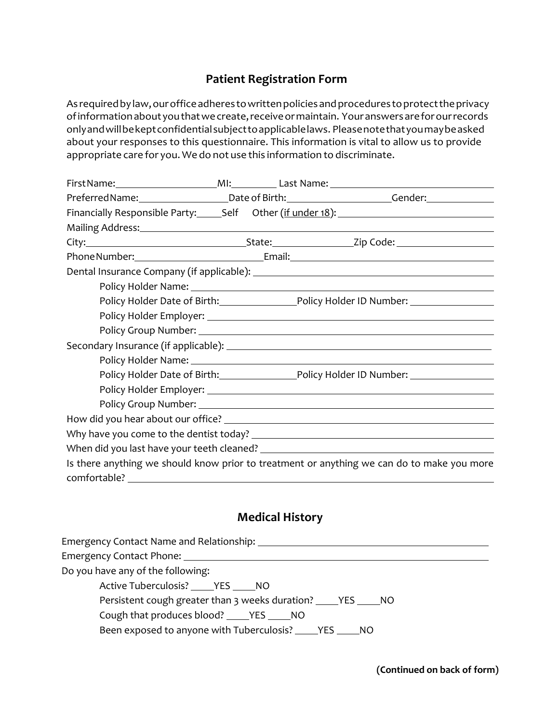# **Patient Registration Form**

As required by law, our office adheres to written policies and procedures to protect the privacy ofinformationaboutyouthatwecreate,receiveormaintain. Youranswersareforourrecords onlyandwillbekeptconfidentialsubjecttoapplicablelaws. Pleasenotethatyoumaybeasked about your responses to this questionnaire. This information is vital to allow us to provide appropriate care for you. We do not use this information to discriminate.

|                                                                                                                                                                                                                                |  | Preferred Name:_______________________Date of Birth:__________________________Gender:______________           |
|--------------------------------------------------------------------------------------------------------------------------------------------------------------------------------------------------------------------------------|--|---------------------------------------------------------------------------------------------------------------|
|                                                                                                                                                                                                                                |  | Financially Responsible Party: Self Other (if under 18): 1991 1992 1994                                       |
| Mailing Address: National Address: National Address: National Address: National Address: National Address: National Address: National Address: National Address: National Address: National Address: National Address: Nationa |  |                                                                                                               |
|                                                                                                                                                                                                                                |  |                                                                                                               |
|                                                                                                                                                                                                                                |  |                                                                                                               |
|                                                                                                                                                                                                                                |  | Dental Insurance Company (if applicable): [20] Manuscription of the Company of the Dental Insurance Company ( |
|                                                                                                                                                                                                                                |  |                                                                                                               |
|                                                                                                                                                                                                                                |  | Policy Holder Date of Birth: Policy Holder ID Number: 10 Number: 2008                                         |
|                                                                                                                                                                                                                                |  |                                                                                                               |
|                                                                                                                                                                                                                                |  |                                                                                                               |
|                                                                                                                                                                                                                                |  |                                                                                                               |
|                                                                                                                                                                                                                                |  |                                                                                                               |
|                                                                                                                                                                                                                                |  | Policy Holder Date of Birth: Policy Holder ID Number: 1997                                                    |
|                                                                                                                                                                                                                                |  |                                                                                                               |
|                                                                                                                                                                                                                                |  |                                                                                                               |
|                                                                                                                                                                                                                                |  |                                                                                                               |
|                                                                                                                                                                                                                                |  |                                                                                                               |
|                                                                                                                                                                                                                                |  |                                                                                                               |
| comfortable?                                                                                                                                                                                                                   |  | Is there anything we should know prior to treatment or anything we can do to make you more                    |

## **Medical History**

| Emergency Contact Name and Relationship: _________                 |
|--------------------------------------------------------------------|
|                                                                    |
| Do you have any of the following:                                  |
| Active Tuberculosis? _____ YES _____ NO                            |
| Persistent cough greater than 3 weeks duration? _____ YES _____ NO |
| Cough that produces blood? ______ YES ______ NO                    |
| Been exposed to anyone with Tuberculosis? ______ YES ______ NO     |
|                                                                    |

**(Continued on back of form)**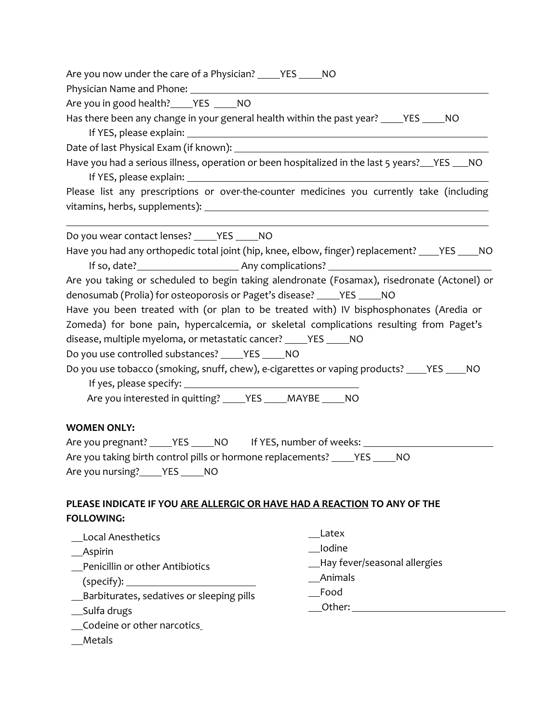|  | Are you now under the care of a Physician? | YES | NO |
|--|--------------------------------------------|-----|----|
|  |                                            |     |    |

Physician Name and Phone:

Are you in good health? YES \_\_\_\_\_ NO

Has there been any change in your general health within the past year? VES WAO If YES, please explain:

Date of last Physical Exam (if known): <u>equal that the contract of the set of the contract of the contract of the contract of the contract of the contract of the contract of the contract of the contract of the contract of </u>

Have you had a serious illness, operation or been hospitalized in the last 5 years? YES 100 If YES, please explain:

Please list any prescriptions or over-the-counter medicines you currently take (including vitamins, herbs, supplements):

Do you wear contact lenses? \_\_\_\_\_ YES \_\_\_\_\_ NO Have you had any orthopedic total joint (hip, knee, elbow, finger) replacement? \_\_\_\_YES \_\_\_\_NO If so, date? Any complications?

Are you taking or scheduled to begin taking alendronate (Fosamax), risedronate (Actonel) or denosumab (Prolia) for osteoporosis or Paget's disease? \_\_\_\_\_ YES \_\_\_\_\_ NO

Have you been treated with (or plan to be treated with) IV bisphosphonates (Aredia or Zomeda) for bone pain, hypercalcemia, or skeletal complications resulting from Paget's disease, multiple myeloma, or metastatic cancer? VES \_\_\_\_ NO

Do you use controlled substances? \_\_\_\_\_ YES \_\_\_\_\_ NO

Do you use tobacco (smoking, snuff, chew), e-cigarettes or vaping products? VES WO If yes, please specify:

Are you interested in quitting? \_\_\_\_\_ YES \_\_\_\_\_ MAYBE \_\_\_\_\_ NO

## **WOMEN ONLY:**

 $\overline{a}$ 

Are you pregnant? YES NO If YES, number of weeks: Are you taking birth control pills or hormone replacements? \_\_\_\_\_ YES \_\_\_\_\_ NO Are you nursing? YES NO

## **PLEASE INDICATE IF YOU ARE ALLERGIC OR HAVE HAD A REACTION TO ANY OF THE FOLLOWING:**

| <b>Local Anesthetics</b>                   | Latex                         |
|--------------------------------------------|-------------------------------|
| $\_$ Aspirin                               | Iodine                        |
| Penicillin or other Antibiotics            | -Bay fever/seasonal allergies |
| (specify): __________________________      | Animals                       |
| _Barbiturates, sedatives or sleeping pills | Food                          |
| __Sulfa drugs                              | Other:                        |
| _Codeine or other narcotics                |                               |

Metals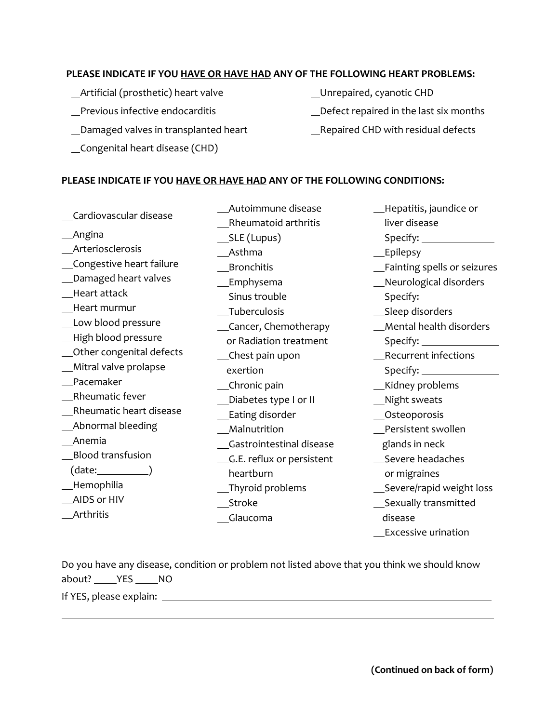#### **PLEASE INDICATE IF YOU HAVE OR HAVE HAD ANY OF THE FOLLOWING HEART PROBLEMS:**

- Artificial (prosthetic) heart valve
- Previous infective endocarditis
- Damaged valves in transplanted heart
- Congenital heart disease (CHD)
- Unrepaired, cyanotic CHD
- Defect repaired in the last six months
- \_Repaired CHD with residual defects

## **PLEASE INDICATE IF YOU HAVE OR HAVE HAD ANY OF THE FOLLOWING CONDITIONS:**

 Cardiovascular disease Angina Arteriosclerosis Congestive heart failure Damaged heart valves Heart attack Heart murmur Low blood pressure High blood pressure Other congenital defects Mitral valve prolapse Pacemaker Rheumatic fever Rheumatic heart disease Abnormal bleeding Anemia Blood transfusion (date: 1) Hemophilia AIDS or HIV Arthritis Autoimmune disease Rheumatoid arthritis SLE (Lupus) Asthma Bronchitis Emphysema Sinus trouble Tuberculosis Cancer, Chemotherapy or Radiation treatment Chest pain upon exertion \_\_Chronic pain Diabetes type I or II \_\_Eating disorder Malnutrition Gastrointestinal disease G.E. reflux or persistent heartburn Thyroid problems Stroke Glaucoma Hepatitis, jaundice or liver disease Specify: \_\_\_\_\_ Epilepsy Fainting spells or seizures Neurological disorders Specify: Sleep disorders Mental health disorders Specify: Recurrent infections Specify: Kidney problems \_Night sweats Osteoporosis Persistent swollen glands in neck Severe headaches or migraines Severe/rapid weight loss **Sexually transmitted**  disease Excessive urination

Do you have any disease, condition or problem not listed above that you think we should know about? YES NO

If YES, please explain:

 $\overline{a}$